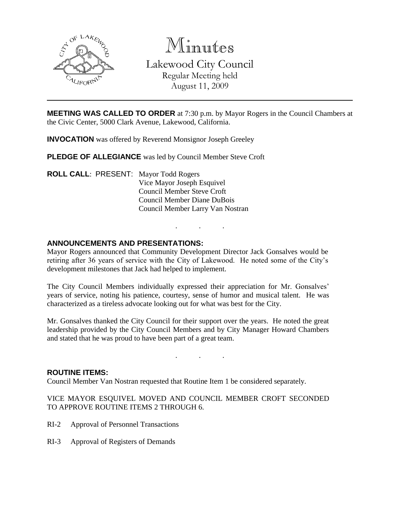

Minutes Lakewood City Council Regular Meeting held August 11, 2009

**MEETING WAS CALLED TO ORDER** at 7:30 p.m. by Mayor Rogers in the Council Chambers at the Civic Center, 5000 Clark Avenue, Lakewood, California.

**INVOCATION** was offered by Reverend Monsignor Joseph Greeley

**PLEDGE OF ALLEGIANCE** was led by Council Member Steve Croft

**ROLL CALL**: PRESENT: Mayor Todd Rogers Vice Mayor Joseph Esquivel Council Member Steve Croft Council Member Diane DuBois Council Member Larry Van Nostran

# **ANNOUNCEMENTS AND PRESENTATIONS:**

Mayor Rogers announced that Community Development Director Jack Gonsalves would be retiring after 36 years of service with the City of Lakewood. He noted some of the City's development milestones that Jack had helped to implement.

. . .

The City Council Members individually expressed their appreciation for Mr. Gonsalves' years of service, noting his patience, courtesy, sense of humor and musical talent. He was characterized as a tireless advocate looking out for what was best for the City.

Mr. Gonsalves thanked the City Council for their support over the years. He noted the great leadership provided by the City Council Members and by City Manager Howard Chambers and stated that he was proud to have been part of a great team.

. . .

#### **ROUTINE ITEMS:**

Council Member Van Nostran requested that Routine Item 1 be considered separately.

VICE MAYOR ESQUIVEL MOVED AND COUNCIL MEMBER CROFT SECONDED TO APPROVE ROUTINE ITEMS 2 THROUGH 6.

- RI-2 Approval of Personnel Transactions
- RI-3 Approval of Registers of Demands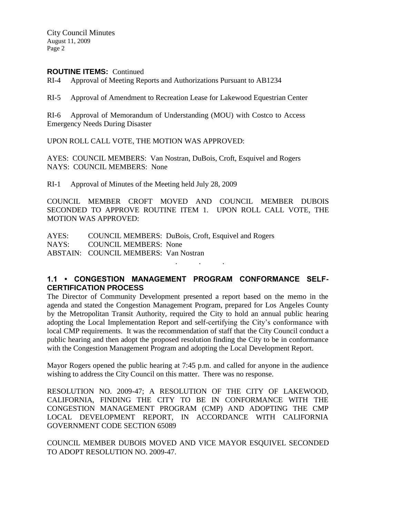City Council Minutes August 11, 2009 Page 2

## **ROUTINE ITEMS:** Continued

RI-4 Approval of Meeting Reports and Authorizations Pursuant to AB1234

RI-5 Approval of Amendment to Recreation Lease for Lakewood Equestrian Center

RI-6 Approval of Memorandum of Understanding (MOU) with Costco to Access Emergency Needs During Disaster

UPON ROLL CALL VOTE, THE MOTION WAS APPROVED:

AYES: COUNCIL MEMBERS: Van Nostran, DuBois, Croft, Esquivel and Rogers NAYS: COUNCIL MEMBERS: None

RI-1 Approval of Minutes of the Meeting held July 28, 2009

COUNCIL MEMBER CROFT MOVED AND COUNCIL MEMBER DUBOIS SECONDED TO APPROVE ROUTINE ITEM 1. UPON ROLL CALL VOTE, THE MOTION WAS APPROVED:

AYES: COUNCIL MEMBERS: DuBois, Croft, Esquivel and Rogers NAYS: COUNCIL MEMBERS: None ABSTAIN: COUNCIL MEMBERS: Van Nostran

# **1.1 • CONGESTION MANAGEMENT PROGRAM CONFORMANCE SELF-CERTIFICATION PROCESS**

. . .

The Director of Community Development presented a report based on the memo in the agenda and stated the Congestion Management Program, prepared for Los Angeles County by the Metropolitan Transit Authority, required the City to hold an annual public hearing adopting the Local Implementation Report and self-certifying the City's conformance with local CMP requirements. It was the recommendation of staff that the City Council conduct a public hearing and then adopt the proposed resolution finding the City to be in conformance with the Congestion Management Program and adopting the Local Development Report.

Mayor Rogers opened the public hearing at 7:45 p.m. and called for anyone in the audience wishing to address the City Council on this matter. There was no response.

RESOLUTION NO. 2009-47; A RESOLUTION OF THE CITY OF LAKEWOOD, CALIFORNIA, FINDING THE CITY TO BE IN CONFORMANCE WITH THE CONGESTION MANAGEMENT PROGRAM (CMP) AND ADOPTING THE CMP LOCAL DEVELOPMENT REPORT, IN ACCORDANCE WITH CALIFORNIA GOVERNMENT CODE SECTION 65089

COUNCIL MEMBER DUBOIS MOVED AND VICE MAYOR ESQUIVEL SECONDED TO ADOPT RESOLUTION NO. 2009-47.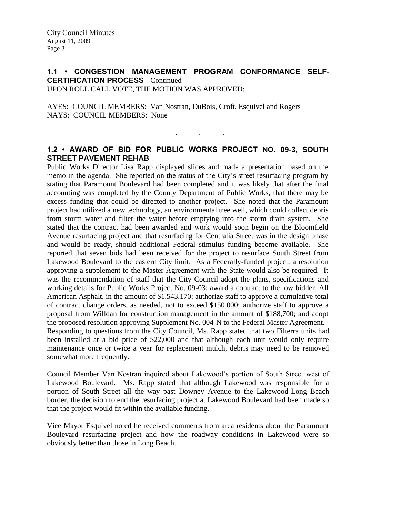## **1.1 • CONGESTION MANAGEMENT PROGRAM CONFORMANCE SELF-CERTIFICATION PROCESS** - Continued UPON ROLL CALL VOTE, THE MOTION WAS APPROVED:

AYES: COUNCIL MEMBERS: Van Nostran, DuBois, Croft, Esquivel and Rogers NAYS: COUNCIL MEMBERS: None

## **1.2 • AWARD OF BID FOR PUBLIC WORKS PROJECT NO. 09-3, SOUTH STREET PAVEMENT REHAB**

. . .

Public Works Director Lisa Rapp displayed slides and made a presentation based on the memo in the agenda. She reported on the status of the City's street resurfacing program by stating that Paramount Boulevard had been completed and it was likely that after the final accounting was completed by the County Department of Public Works, that there may be excess funding that could be directed to another project. She noted that the Paramount project had utilized a new technology, an environmental tree well, which could collect debris from storm water and filter the water before emptying into the storm drain system. She stated that the contract had been awarded and work would soon begin on the Bloomfield Avenue resurfacing project and that resurfacing for Centralia Street was in the design phase and would be ready, should additional Federal stimulus funding become available. She reported that seven bids had been received for the project to resurface South Street from Lakewood Boulevard to the eastern City limit. As a Federally-funded project, a resolution approving a supplement to the Master Agreement with the State would also be required. It was the recommendation of staff that the City Council adopt the plans, specifications and working details for Public Works Project No. 09-03; award a contract to the low bidder, All American Asphalt, in the amount of \$1,543,170; authorize staff to approve a cumulative total of contract change orders, as needed, not to exceed \$150,000; authorize staff to approve a proposal from Willdan for construction management in the amount of \$188,700; and adopt the proposed resolution approving Supplement No. 004-N to the Federal Master Agreement. Responding to questions from the City Council, Ms. Rapp stated that two Filterra units had been installed at a bid price of \$22,000 and that although each unit would only require maintenance once or twice a year for replacement mulch, debris may need to be removed somewhat more frequently.

Council Member Van Nostran inquired about Lakewood's portion of South Street west of Lakewood Boulevard. Ms. Rapp stated that although Lakewood was responsible for a portion of South Street all the way past Downey Avenue to the Lakewood-Long Beach border, the decision to end the resurfacing project at Lakewood Boulevard had been made so that the project would fit within the available funding.

Vice Mayor Esquivel noted he received comments from area residents about the Paramount Boulevard resurfacing project and how the roadway conditions in Lakewood were so obviously better than those in Long Beach.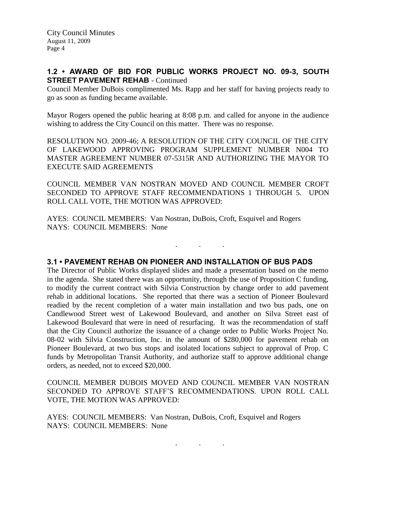# **1.2 • AWARD OF BID FOR PUBLIC WORKS PROJECT NO. 09-3, SOUTH STREET PAVEMENT REHAB - Continued**

Council Member DuBois complimented Ms. Rapp and her staff for having projects ready to go as soon as funding became available.

Mayor Rogers opened the public hearing at 8:08 p.m. and called for anyone in the audience wishing to address the City Council on this matter. There was no response.

RESOLUTION NO. 2009-46; A RESOLUTION OF THE CITY COUNCIL OF THE CITY OF LAKEWOOD APPROVING PROGRAM SUPPLEMENT NUMBER N004 TO MASTER AGREEMENT NUMBER 07-5315R AND AUTHORIZING THE MAYOR TO EXECUTE SAID AGREEMENTS

COUNCIL MEMBER VAN NOSTRAN MOVED AND COUNCIL MEMBER CROFT SECONDED TO APPROVE STAFF RECOMMENDATIONS 1 THROUGH 5. UPON ROLL CALL VOTE, THE MOTION WAS APPROVED:

. . .

AYES: COUNCIL MEMBERS: Van Nostran, DuBois, Croft, Esquivel and Rogers NAYS: COUNCIL MEMBERS: None

**3.1 • PAVEMENT REHAB ON PIONEER AND INSTALLATION OF BUS PADS**

The Director of Public Works displayed slides and made a presentation based on the memo in the agenda. She stated there was an opportunity, through the use of Proposition C funding, to modify the current contract with Silvia Construction by change order to add pavement rehab in additional locations. She reported that there was a section of Pioneer Boulevard readied by the recent completion of a water main installation and two bus pads, one on Candlewood Street west of Lakewood Boulevard, and another on Silva Street east of Lakewood Boulevard that were in need of resurfacing. It was the recommendation of staff that the City Council authorize the issuance of a change order to Public Works Project No. 08-02 with Silvia Construction, Inc. in the amount of \$280,000 for pavement rehab on Pioneer Boulevard, at two bus stops and isolated locations subject to approval of Prop. C funds by Metropolitan Transit Authority, and authorize staff to approve additional change orders, as needed, not to exceed \$20,000.

COUNCIL MEMBER DUBOIS MOVED AND COUNCIL MEMBER VAN NOSTRAN SECONDED TO APPROVE STAFF'S RECOMMENDATIONS. UPON ROLL CALL VOTE, THE MOTION WAS APPROVED:

AYES: COUNCIL MEMBERS: Van Nostran, DuBois, Croft, Esquivel and Rogers NAYS: COUNCIL MEMBERS: None

. . .